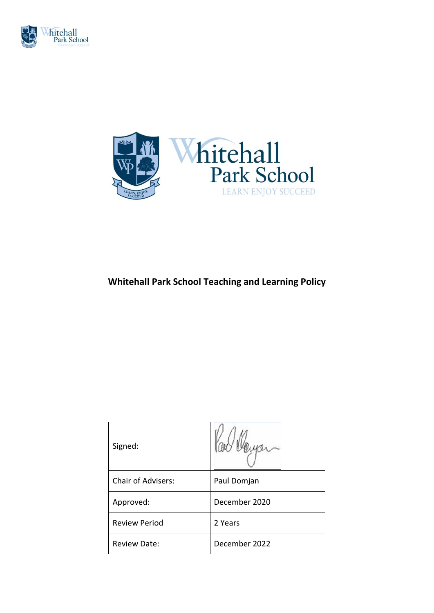



# **Whitehall Park School Teaching and Learning Policy**

| Signed:                   |               |
|---------------------------|---------------|
| <b>Chair of Advisers:</b> | Paul Domjan   |
| Approved:                 | December 2020 |
| <b>Review Period</b>      | 2 Years       |
| <b>Review Date:</b>       | December 2022 |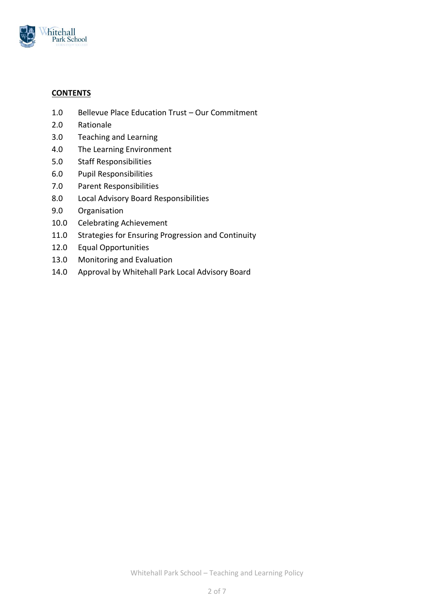

# **CONTENTS**

- 1.0 Bellevue Place Education Trust Our Commitment
- 2.0 Rationale
- 3.0 Teaching and Learning
- 4.0 The Learning Environment
- 5.0 Staff Responsibilities
- 6.0 Pupil Responsibilities
- 7.0 Parent Responsibilities
- 8.0 Local Advisory Board Responsibilities
- 9.0 Organisation
- 10.0 Celebrating Achievement
- 11.0 Strategies for Ensuring Progression and Continuity
- 12.0 Equal Opportunities
- 13.0 Monitoring and Evaluation
- 14.0 Approval by Whitehall Park Local Advisory Board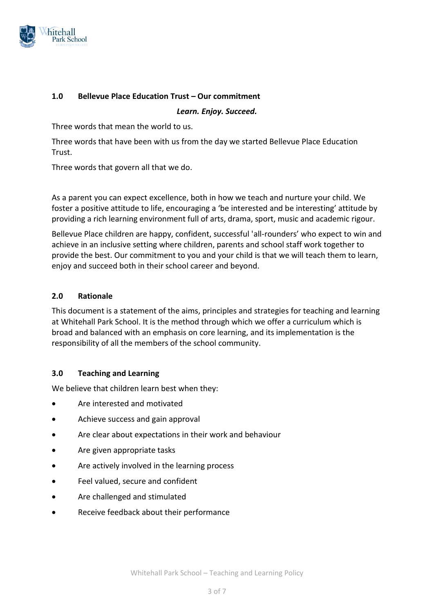

# **1.0 Bellevue Place Education Trust – Our commitment**

*Learn. Enjoy. Succeed.*

Three words that mean the world to us.

Three words that have been with us from the day we started Bellevue Place Education Trust.

Three words that govern all that we do.

As a parent you can expect excellence, both in how we teach and nurture your child. We foster a positive attitude to life, encouraging a 'be interested and be interesting' attitude by providing a rich learning environment full of arts, drama, sport, music and academic rigour.

Bellevue Place children are happy, confident, successful 'all-rounders' who expect to win and achieve in an inclusive setting where children, parents and school staff work together to provide the best. Our commitment to you and your child is that we will teach them to learn, enjoy and succeed both in their school career and beyond.

#### **2.0 Rationale**

This document is a statement of the aims, principles and strategies for teaching and learning at Whitehall Park School. It is the method through which we offer a curriculum which is broad and balanced with an emphasis on core learning, and its implementation is the responsibility of all the members of the school community.

#### **3.0 Teaching and Learning**

We believe that children learn best when they:

- Are interested and motivated
- Achieve success and gain approval
- Are clear about expectations in their work and behaviour
- Are given appropriate tasks
- Are actively involved in the learning process
- Feel valued, secure and confident
- Are challenged and stimulated
- Receive feedback about their performance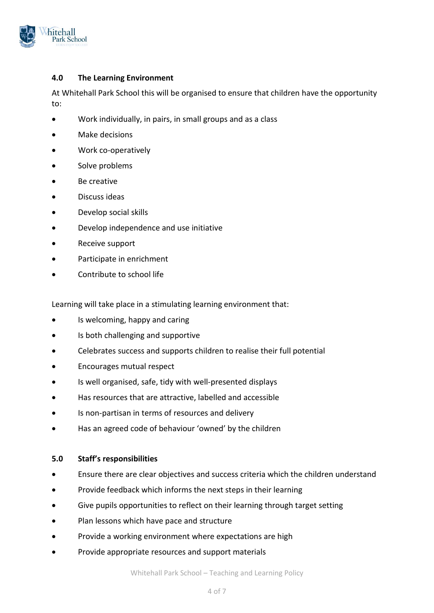

# **4.0 The Learning Environment**

At Whitehall Park School this will be organised to ensure that children have the opportunity to:

- Work individually, in pairs, in small groups and as a class
- Make decisions
- Work co-operatively
- Solve problems
- Be creative
- Discuss ideas
- Develop social skills
- Develop independence and use initiative
- Receive support
- Participate in enrichment
- Contribute to school life

Learning will take place in a stimulating learning environment that:

- Is welcoming, happy and caring
- Is both challenging and supportive
- Celebrates success and supports children to realise their full potential
- Encourages mutual respect
- Is well organised, safe, tidy with well-presented displays
- Has resources that are attractive, labelled and accessible
- Is non-partisan in terms of resources and delivery
- Has an agreed code of behaviour 'owned' by the children

#### **5.0 Staff's responsibilities**

- Ensure there are clear objectives and success criteria which the children understand
- Provide feedback which informs the next steps in their learning
- Give pupils opportunities to reflect on their learning through target setting
- Plan lessons which have pace and structure
- Provide a working environment where expectations are high
- Provide appropriate resources and support materials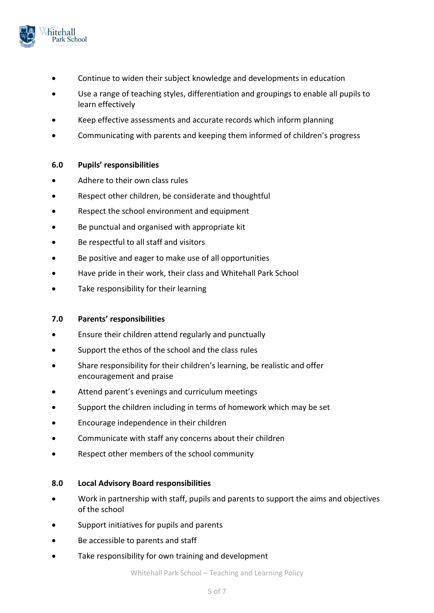

- Continue to widen their subject knowledge and developments in education
- Use a range of teaching styles, differentiation and groupings to enable all pupils to learn effectively
- Keep effective assessments and accurate records which inform planning
- Communicating with parents and keeping them informed of children's progress

#### **6.0 Pupils' responsibilities**

- Adhere to their own class rules
- Respect other children, be considerate and thoughtful
- Respect the school environment and equipment
- Be punctual and organised with appropriate kit
- Be respectful to all staff and visitors
- Be positive and eager to make use of all opportunities
- Have pride in their work, their class and Whitehall Park School
- Take responsibility for their learning

#### **7.0 Parents' responsibilities**

- Ensure their children attend regularly and punctually
- Support the ethos of the school and the class rules
- Share responsibility for their children's learning, be realistic and offer encouragement and praise
- Attend parent's evenings and curriculum meetings
- Support the children including in terms of homework which may be set
- Encourage independence in their children
- Communicate with staff any concerns about their children
- Respect other members of the school community

#### **8.0 Local Advisory Board responsibilities**

- Work in partnership with staff, pupils and parents to support the aims and objectives of the school
- Support initiatives for pupils and parents
- Be accessible to parents and staff
- Take responsibility for own training and development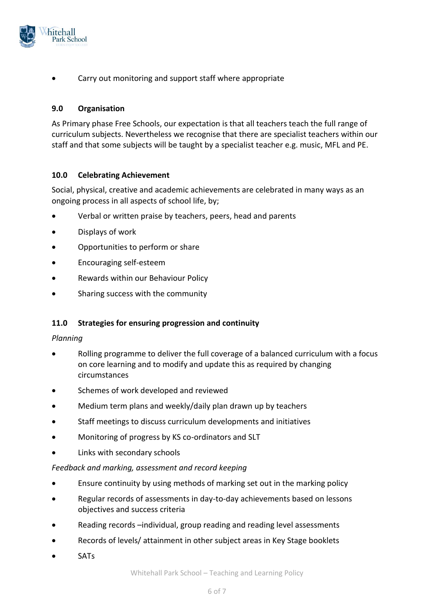

Carry out monitoring and support staff where appropriate

# **9.0 Organisation**

As Primary phase Free Schools, our expectation is that all teachers teach the full range of curriculum subjects. Nevertheless we recognise that there are specialist teachers within our staff and that some subjects will be taught by a specialist teacher e.g. music, MFL and PE.

# **10.0 Celebrating Achievement**

Social, physical, creative and academic achievements are celebrated in many ways as an ongoing process in all aspects of school life, by;

- Verbal or written praise by teachers, peers, head and parents
- Displays of work
- Opportunities to perform or share
- Encouraging self-esteem
- Rewards within our Behaviour Policy
- Sharing success with the community

#### **11.0 Strategies for ensuring progression and continuity**

#### *Planning*

- Rolling programme to deliver the full coverage of a balanced curriculum with a focus on core learning and to modify and update this as required by changing circumstances
- Schemes of work developed and reviewed
- Medium term plans and weekly/daily plan drawn up by teachers
- Staff meetings to discuss curriculum developments and initiatives
- Monitoring of progress by KS co-ordinators and SLT
- Links with secondary schools

#### *Feedback and marking, assessment and record keeping*

- Ensure continuity by using methods of marking set out in the marking policy
- Regular records of assessments in day-to-day achievements based on lessons objectives and success criteria
- Reading records –individual, group reading and reading level assessments
- Records of levels/ attainment in other subject areas in Key Stage booklets
- SATs